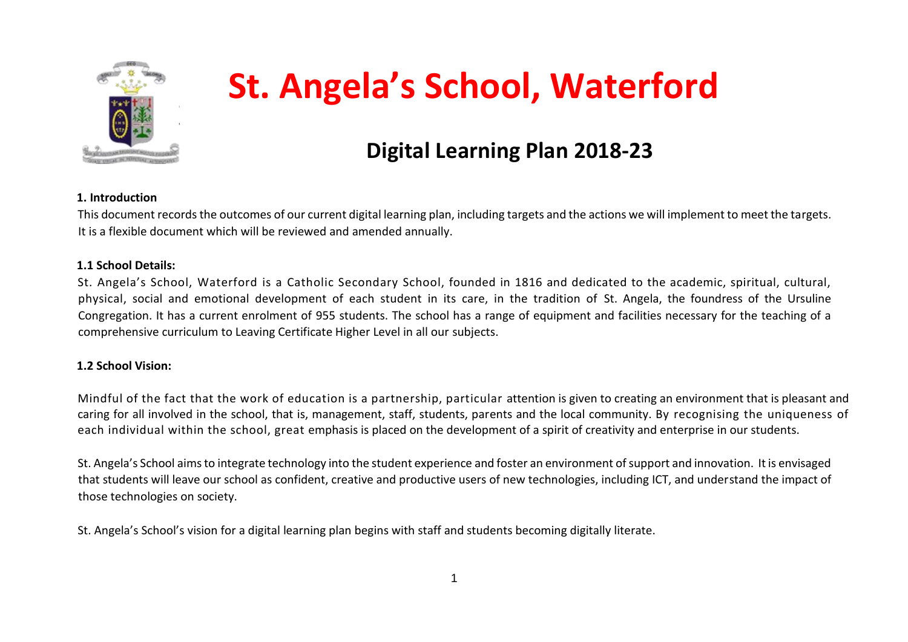

# **St. Angela's School, Waterford**

# **Digital Learning Plan 2018-23**

#### **1. Introduction**

This document records the outcomes of our current digital learning plan, including targets and the actions we will implement to meet the targets. It is a flexible document which will be reviewed and amended annually.

#### **1.1 School Details:**

St. Angela's School, Waterford is a Catholic Secondary School, founded in 1816 and dedicated to the academic, spiritual, cultural, physical, social and emotional development of each student in its care, in the tradition of St. Angela, the foundress of the Ursuline Congregation. It has a current enrolment of 955 students. The school has a range of equipment and facilities necessary for the teaching of a comprehensive curriculum to Leaving Certificate Higher Level in all our subjects.

#### **1.2 School Vision:**

Mindful of the fact that the work of education is a partnership, particular attention is given to creating an environment that is pleasant and caring for all involved in the school, that is, management, staff, students, parents and the local community. By recognising the uniqueness of each individual within the school, great emphasis is placed on the development of a spirit of creativity and enterprise in our students.

St. Angela's School aims to integrate technology into the student experience and foster an environment of support and innovation. It is envisaged that students will leave our school as confident, creative and productive users of new technologies, including ICT, and understand the impact of those technologies on society.

St. Angela's School's vision for a digital learning plan begins with staff and students becoming digitally literate.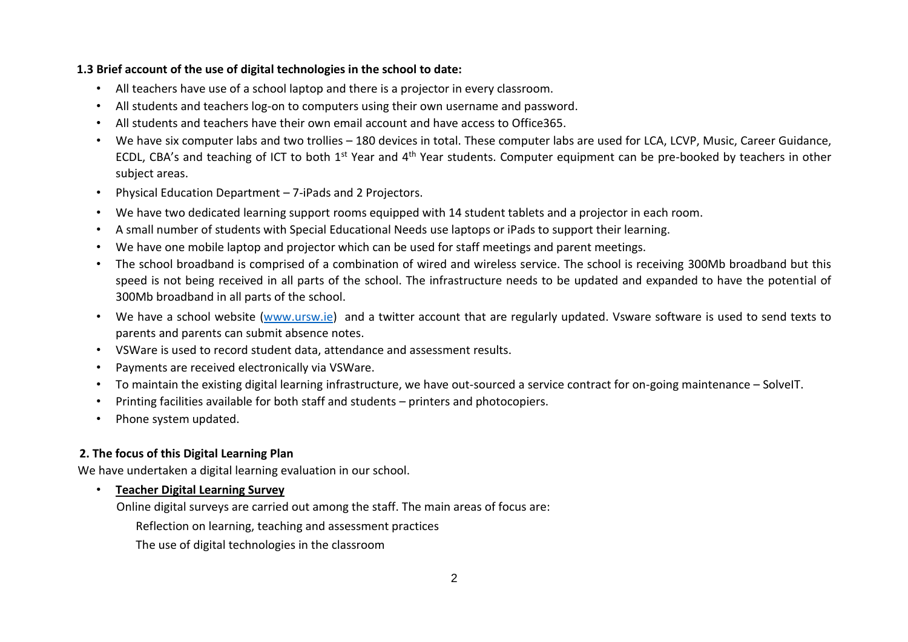#### **1.3 Brief account of the use of digital technologies in the school to date:**

- All teachers have use of a school laptop and there is a projector in every classroom.
- All students and teachers log-on to computers using their own username and password.
- All students and teachers have their own email account and have access to Office365.
- We have six computer labs and two trollies 180 devices in total. These computer labs are used for LCA, LCVP, Music, Career Guidance, ECDL, CBA's and teaching of ICT to both 1<sup>st</sup> Year and 4<sup>th</sup> Year students. Computer equipment can be pre-booked by teachers in other subject areas.
- Physical Education Department 7-iPads and 2 Projectors.
- We have two dedicated learning support rooms equipped with 14 student tablets and a projector in each room.
- A small number of students with Special Educational Needs use laptops or iPads to support their learning.
- We have one mobile laptop and projector which can be used for staff meetings and parent meetings.
- The school broadband is comprised of a combination of wired and wireless service. The school is receiving 300Mb broadband but this speed is not being received in all parts of the school. The infrastructure needs to be updated and expanded to have the potential of 300Mb broadband in all parts of the school.
- We have a school website [\(www.ursw.ie\)](http://www.ursw.ie/) and a twitter account that are regularly updated. Vsware software is used to send texts to parents and parents can submit absence notes.
- VSWare is used to record student data, attendance and assessment results.
- Payments are received electronically via VSWare.
- To maintain the existing digital learning infrastructure, we have out-sourced a service contract for on-going maintenance SolveIT.
- Printing facilities available for both staff and students printers and photocopiers.
- Phone system updated.

#### **2. The focus of this Digital Learning Plan**

We have undertaken a digital learning evaluation in our school.

#### • **Teacher Digital Learning Survey**

Online digital surveys are carried out among the staff. The main areas of focus are:

Reflection on learning, teaching and assessment practices

The use of digital technologies in the classroom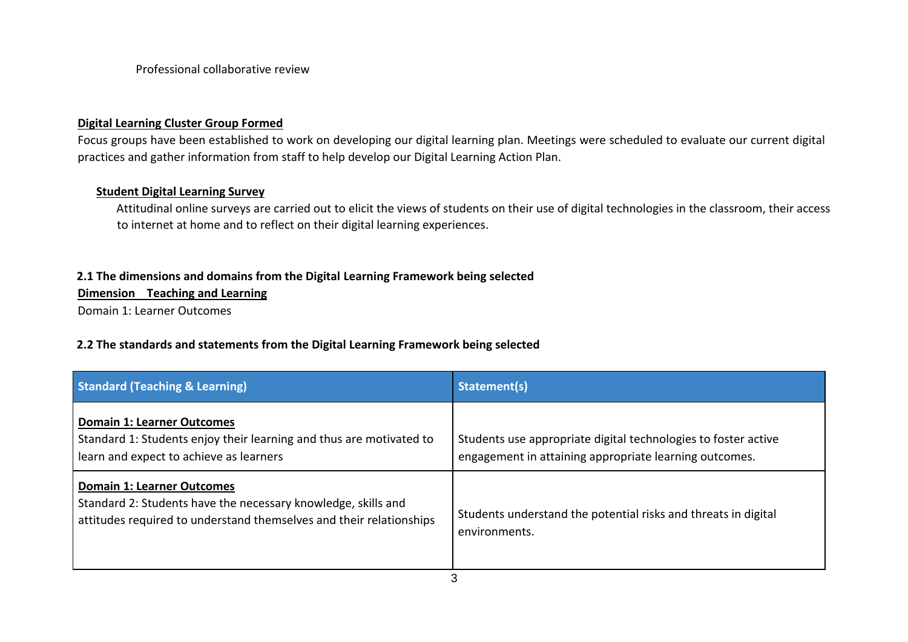Professional collaborative review

#### **Digital Learning Cluster Group Formed**

Focus groups have been established to work on developing our digital learning plan. Meetings were scheduled to evaluate our current digital practices and gather information from staff to help develop our Digital Learning Action Plan.

#### **Student Digital Learning Survey**

Attitudinal online surveys are carried out to elicit the views of students on their use of digital technologies in the classroom, their access to internet at home and to reflect on their digital learning experiences.

#### **2.1 The dimensions and domains from the Digital Learning Framework being selected**

**Dimension Teaching and Learning** 

Domain 1: Learner Outcomes

#### **2.2 The standards and statements from the Digital Learning Framework being selected**

| <b>Standard (Teaching &amp; Learning)</b>                                                                                                                                 | Statement(s)                                                                                                             |
|---------------------------------------------------------------------------------------------------------------------------------------------------------------------------|--------------------------------------------------------------------------------------------------------------------------|
| <b>Domain 1: Learner Outcomes</b><br>Standard 1: Students enjoy their learning and thus are motivated to<br>learn and expect to achieve as learners                       | Students use appropriate digital technologies to foster active<br>engagement in attaining appropriate learning outcomes. |
| <b>Domain 1: Learner Outcomes</b><br>Standard 2: Students have the necessary knowledge, skills and<br>attitudes required to understand themselves and their relationships | Students understand the potential risks and threats in digital<br>environments.                                          |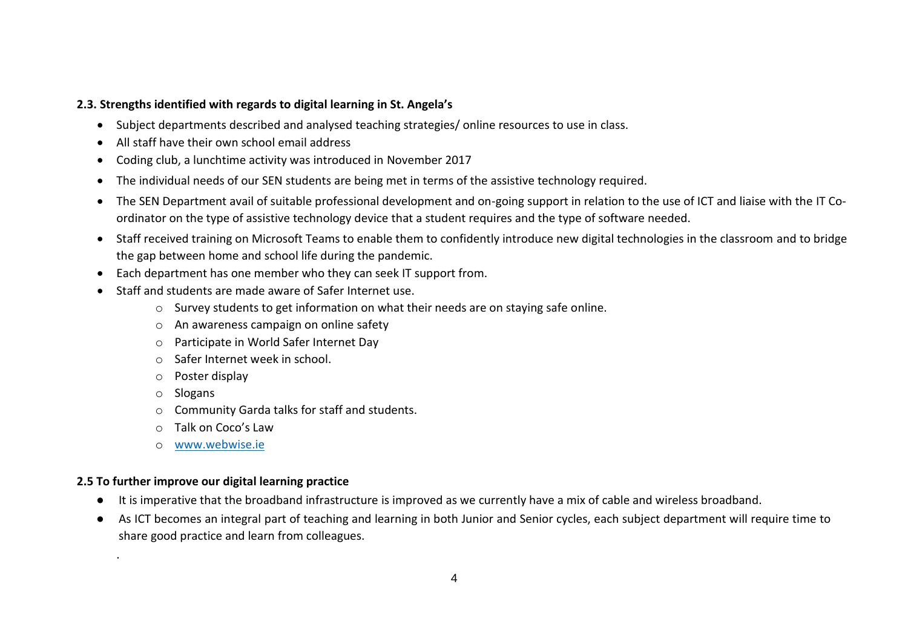#### **2.3. Strengths identified with regards to digital learning in St. Angela's**

- Subject departments described and analysed teaching strategies/ online resources to use in class.
- All staff have their own school email address
- Coding club, a lunchtime activity was introduced in November 2017
- The individual needs of our SEN students are being met in terms of the assistive technology required.
- The SEN Department avail of suitable professional development and on-going support in relation to the use of ICT and liaise with the IT Coordinator on the type of assistive technology device that a student requires and the type of software needed.
- Staff received training on Microsoft Teams to enable them to confidently introduce new digital technologies in the classroom and to bridge the gap between home and school life during the pandemic.
- Each department has one member who they can seek IT support from.
- Staff and students are made aware of Safer Internet use.
	- $\circ$  Survey students to get information on what their needs are on staying safe online.
	- o An awareness campaign on online safety
	- o Participate in World Safer Internet Day
	- o Safer Internet week in school.
	- o Poster display
	- o Slogans

.

- o Community Garda talks for staff and students.
- o Talk on Coco's Law
- o [www.webwise.ie](http://www.webwise.ie/)

#### **2.5 To further improve our digital learning practice**

- It is imperative that the broadband infrastructure is improved as we currently have a mix of cable and wireless broadband.
- As ICT becomes an integral part of teaching and learning in both Junior and Senior cycles, each subject department will require time to share good practice and learn from colleagues.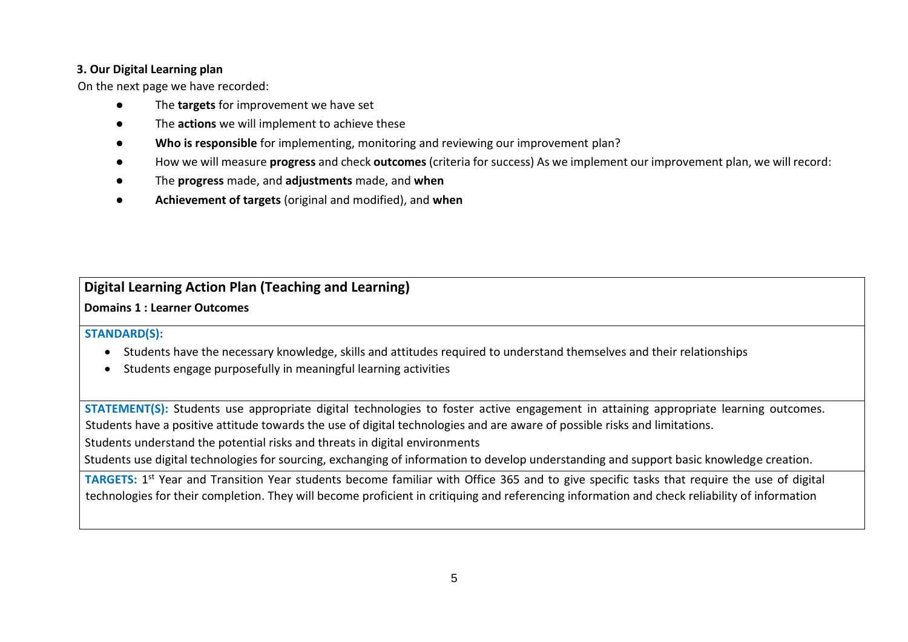#### **3. Our Digital Learning plan**

On the next page we have recorded:

- The **targets** for improvement we have set
- The **actions** we will implement to achieve these
- **Who is responsible** for implementing, monitoring and reviewing our improvement plan?
- How we will measure **progress** and check **outcomes** (criteria for success) As we implement our improvement plan, we will record:
- The **progress** made, and **adjustments** made, and **when**
- **Achievement of targets** (original and modified), and **when**

### **Digital Learning Action Plan (Teaching and Learning)**

**Domains 1 : Learner Outcomes** 

#### **STANDARD(S):**

- Students have the necessary knowledge, skills and attitudes required to understand themselves and their relationships
- Students engage purposefully in meaningful learning activities

**STATEMENT(S):** Students use appropriate digital technologies to foster active engagement in attaining appropriate learning outcomes. Students have a positive attitude towards the use of digital technologies and are aware of possible risks and limitations.

Students understand the potential risks and threats in digital environments

Students use digital technologies for sourcing, exchanging of information to develop understanding and support basic knowledge creation.

TARGETS: 1<sup>st</sup> Year and Transition Year students become familiar with Office 365 and to give specific tasks that require the use of digital technologies for their completion. They will become proficient in critiquing and referencing information and check reliability of information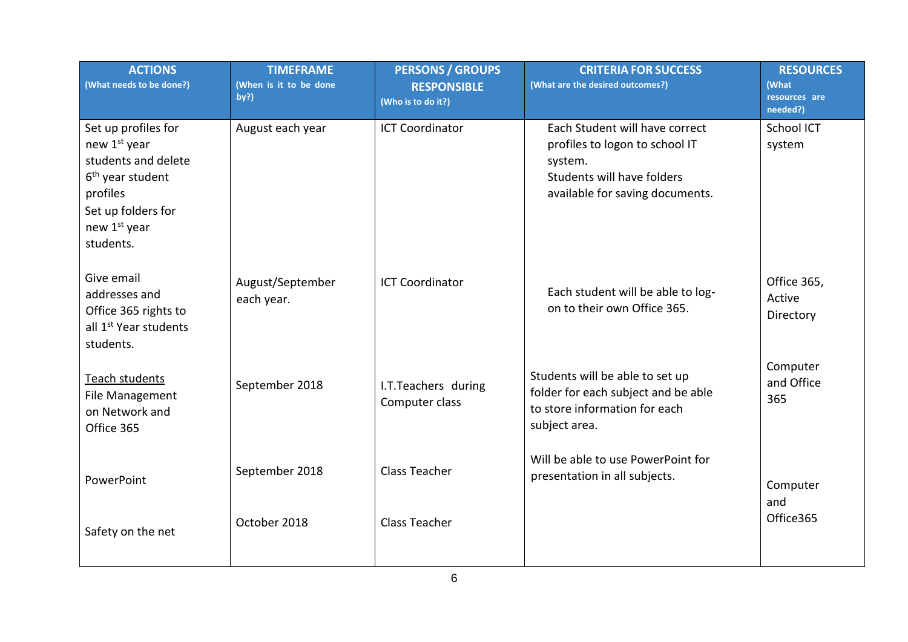| <b>ACTIONS</b><br>(What needs to be done?)                                                                                                                | <b>TIMEFRAME</b><br>(When is it to be done<br>by?) | <b>PERSONS / GROUPS</b><br><b>RESPONSIBLE</b><br>(Who is to do it?) | <b>CRITERIA FOR SUCCESS</b><br>(What are the desired outcomes?)                                                                              | <b>RESOURCES</b><br>(What<br>resources are<br>needed?) |
|-----------------------------------------------------------------------------------------------------------------------------------------------------------|----------------------------------------------------|---------------------------------------------------------------------|----------------------------------------------------------------------------------------------------------------------------------------------|--------------------------------------------------------|
| Set up profiles for<br>new 1st year<br>students and delete<br>6 <sup>th</sup> year student<br>profiles<br>Set up folders for<br>new 1st year<br>students. | August each year                                   | <b>ICT Coordinator</b>                                              | Each Student will have correct<br>profiles to logon to school IT<br>system.<br>Students will have folders<br>available for saving documents. | School ICT<br>system                                   |
| Give email<br>addresses and<br>Office 365 rights to<br>all 1 <sup>st</sup> Year students<br>students.                                                     | August/September<br>each year.                     | <b>ICT Coordinator</b>                                              | Each student will be able to log-<br>on to their own Office 365.                                                                             | Office 365,<br>Active<br>Directory                     |
| Teach students<br>File Management<br>on Network and<br>Office 365                                                                                         | September 2018                                     | I.T.Teachers during<br>Computer class                               | Students will be able to set up<br>folder for each subject and be able<br>to store information for each<br>subject area.                     | Computer<br>and Office<br>365                          |
| PowerPoint<br>Safety on the net                                                                                                                           | September 2018<br>October 2018                     | <b>Class Teacher</b><br><b>Class Teacher</b>                        | Will be able to use PowerPoint for<br>presentation in all subjects.                                                                          | Computer<br>and<br>Office365                           |
|                                                                                                                                                           |                                                    |                                                                     |                                                                                                                                              |                                                        |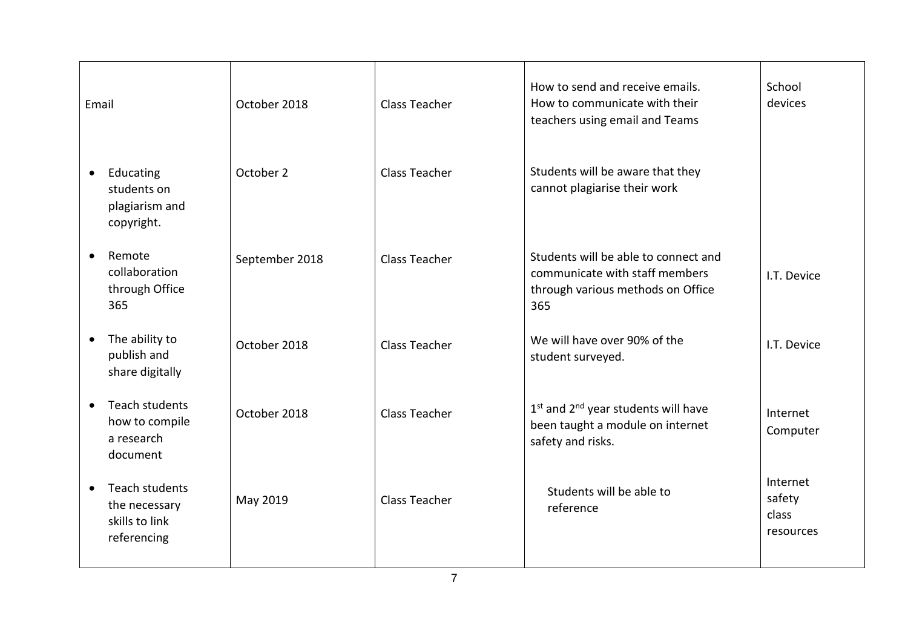| Email                                                                         | October 2018   | <b>Class Teacher</b> | How to send and receive emails.<br>How to communicate with their<br>teachers using email and Teams                   | School<br>devices                        |
|-------------------------------------------------------------------------------|----------------|----------------------|----------------------------------------------------------------------------------------------------------------------|------------------------------------------|
| Educating<br>$\bullet$<br>students on<br>plagiarism and<br>copyright.         | October 2      | <b>Class Teacher</b> | Students will be aware that they<br>cannot plagiarise their work                                                     |                                          |
| Remote<br>$\bullet$<br>collaboration<br>through Office<br>365                 | September 2018 | <b>Class Teacher</b> | Students will be able to connect and<br>communicate with staff members<br>through various methods on Office<br>365   | I.T. Device                              |
| The ability to<br>$\bullet$<br>publish and<br>share digitally                 | October 2018   | <b>Class Teacher</b> | We will have over 90% of the<br>student surveyed.                                                                    | I.T. Device                              |
| Teach students<br>$\bullet$<br>how to compile<br>a research<br>document       | October 2018   | <b>Class Teacher</b> | 1 <sup>st</sup> and 2 <sup>nd</sup> year students will have<br>been taught a module on internet<br>safety and risks. | Internet<br>Computer                     |
| Teach students<br>$\bullet$<br>the necessary<br>skills to link<br>referencing | May 2019       | <b>Class Teacher</b> | Students will be able to<br>reference                                                                                | Internet<br>safety<br>class<br>resources |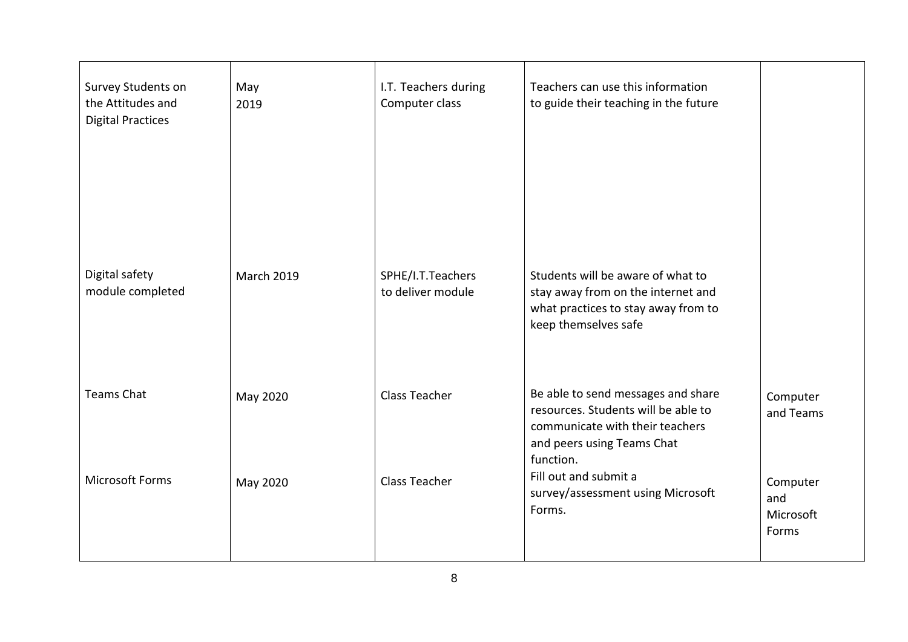| Survey Students on<br>the Attitudes and<br><b>Digital Practices</b> | May<br>2019       | I.T. Teachers during<br>Computer class | Teachers can use this information<br>to guide their teaching in the future                                                                              |                                       |
|---------------------------------------------------------------------|-------------------|----------------------------------------|---------------------------------------------------------------------------------------------------------------------------------------------------------|---------------------------------------|
| Digital safety<br>module completed                                  | <b>March 2019</b> | SPHE/I.T.Teachers<br>to deliver module | Students will be aware of what to<br>stay away from on the internet and<br>what practices to stay away from to<br>keep themselves safe                  |                                       |
| <b>Teams Chat</b>                                                   | May 2020          | Class Teacher                          | Be able to send messages and share<br>resources. Students will be able to<br>communicate with their teachers<br>and peers using Teams Chat<br>function. | Computer<br>and Teams                 |
| <b>Microsoft Forms</b>                                              | May 2020          | Class Teacher                          | Fill out and submit a<br>survey/assessment using Microsoft<br>Forms.                                                                                    | Computer<br>and<br>Microsoft<br>Forms |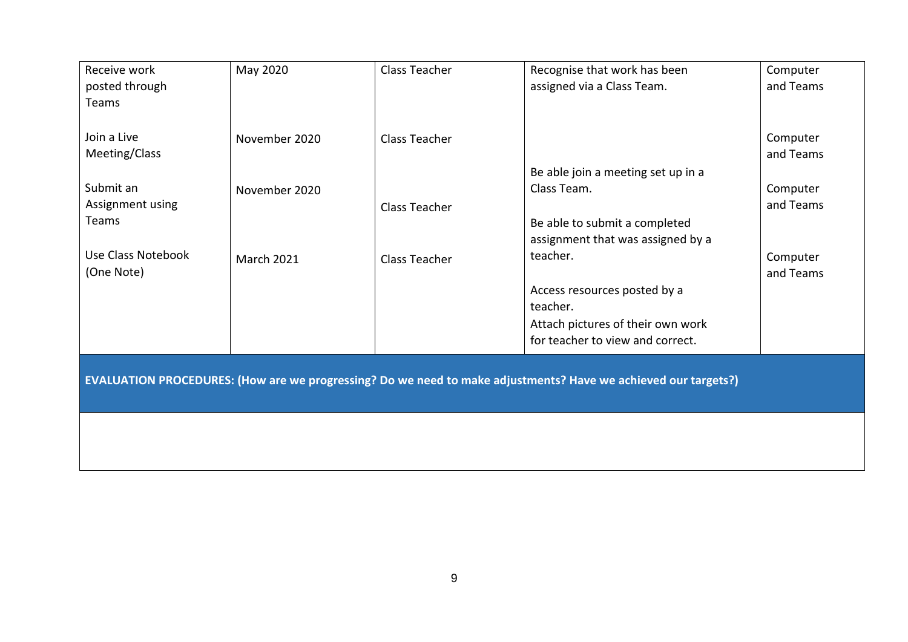| Receive work       | May 2020          | Class Teacher        | Recognise that work has been                                                                                   | Computer  |
|--------------------|-------------------|----------------------|----------------------------------------------------------------------------------------------------------------|-----------|
| posted through     |                   |                      | assigned via a Class Team.                                                                                     | and Teams |
| Teams              |                   |                      |                                                                                                                |           |
|                    |                   |                      |                                                                                                                |           |
| Join a Live        | November 2020     | <b>Class Teacher</b> |                                                                                                                | Computer  |
| Meeting/Class      |                   |                      |                                                                                                                | and Teams |
|                    |                   |                      | Be able join a meeting set up in a                                                                             |           |
| Submit an          | November 2020     |                      | Class Team.                                                                                                    | Computer  |
| Assignment using   |                   | <b>Class Teacher</b> |                                                                                                                | and Teams |
| Teams              |                   |                      | Be able to submit a completed                                                                                  |           |
|                    |                   |                      | assignment that was assigned by a                                                                              |           |
| Use Class Notebook | <b>March 2021</b> | Class Teacher        | teacher.                                                                                                       | Computer  |
| (One Note)         |                   |                      |                                                                                                                | and Teams |
|                    |                   |                      | Access resources posted by a                                                                                   |           |
|                    |                   |                      | teacher.                                                                                                       |           |
|                    |                   |                      | Attach pictures of their own work                                                                              |           |
|                    |                   |                      | for teacher to view and correct.                                                                               |           |
|                    |                   |                      |                                                                                                                |           |
|                    |                   |                      | EVALUATION PROCEDURES: (How are we progressing? Do we need to make adjustments? Have we achieved our targets?) |           |
|                    |                   |                      |                                                                                                                |           |
|                    |                   |                      |                                                                                                                |           |
|                    |                   |                      |                                                                                                                |           |
|                    |                   |                      |                                                                                                                |           |
|                    |                   |                      |                                                                                                                |           |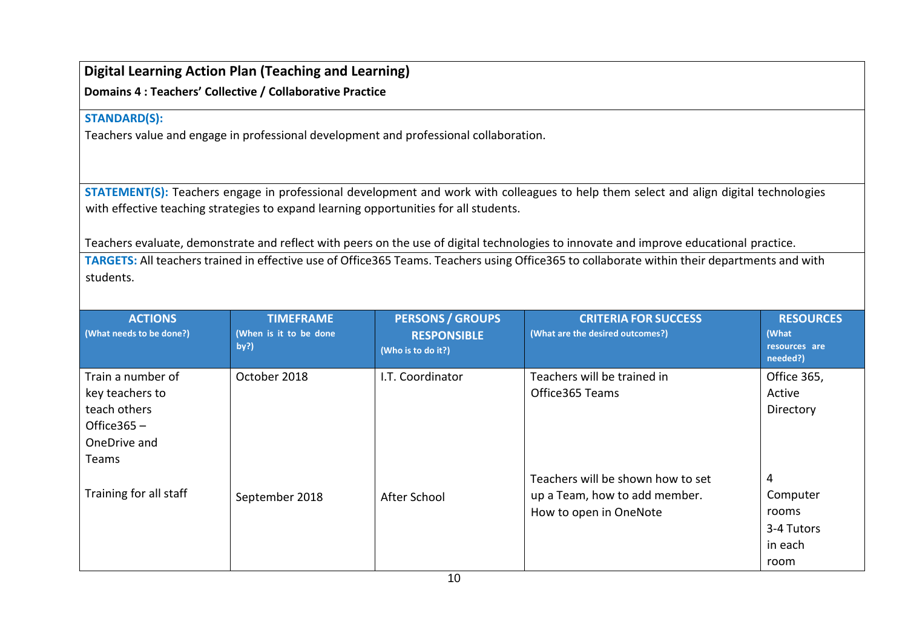## **Digital Learning Action Plan (Teaching and Learning)**

**Domains 4 : Teachers' Collective / Collaborative Practice**

#### **STANDARD(S):**

Teachers value and engage in professional development and professional collaboration.

**STATEMENT(S):** Teachers engage in professional development and work with colleagues to help them select and align digital technologies with effective teaching strategies to expand learning opportunities for all students.

Teachers evaluate, demonstrate and reflect with peers on the use of digital technologies to innovate and improve educational practice.

**TARGETS:** All teachers trained in effective use of Office365 Teams. Teachers using Office365 to collaborate within their departments and with students.

| <b>ACTIONS</b><br>(What needs to be done?)                                                      | <b>TIMEFRAME</b><br>(When is it to be done<br>by?) | <b>PERSONS / GROUPS</b><br><b>RESPONSIBLE</b><br>(Who is to do it?) | <b>CRITERIA FOR SUCCESS</b><br>(What are the desired outcomes?)                              | <b>RESOURCES</b><br>(What<br>resources are<br>needed?)  |
|-------------------------------------------------------------------------------------------------|----------------------------------------------------|---------------------------------------------------------------------|----------------------------------------------------------------------------------------------|---------------------------------------------------------|
| Train a number of<br>key teachers to<br>teach others<br>Office $365 -$<br>OneDrive and<br>Teams | October 2018                                       | I.T. Coordinator                                                    | Teachers will be trained in<br>Office 365 Teams                                              | Office 365,<br>Active<br>Directory                      |
| Training for all staff                                                                          | September 2018                                     | After School                                                        | Teachers will be shown how to set<br>up a Team, how to add member.<br>How to open in OneNote | 4<br>Computer<br>rooms<br>3-4 Tutors<br>in each<br>room |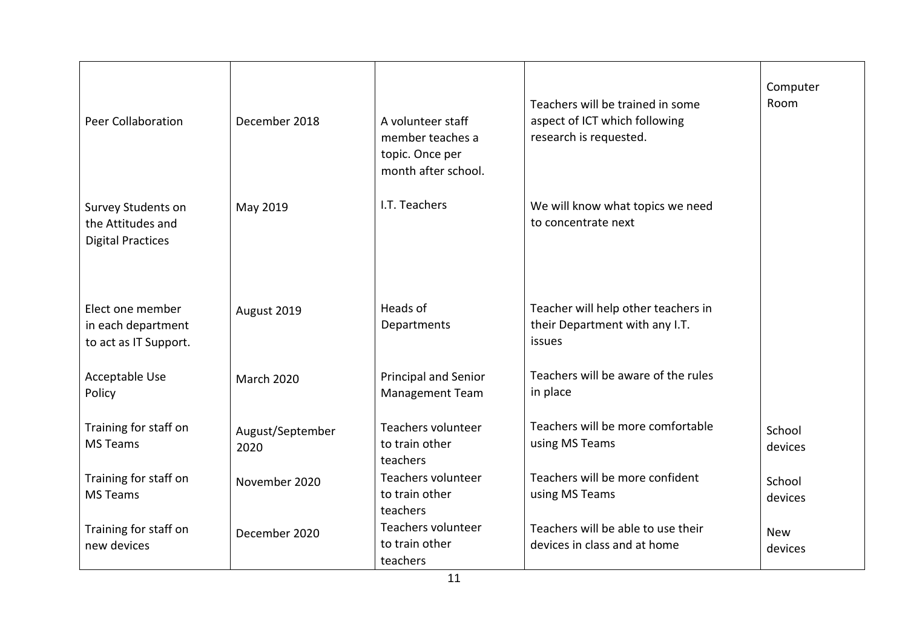| Peer Collaboration                                                  | December 2018            | A volunteer staff<br>member teaches a<br>topic. Once per<br>month after school. | Teachers will be trained in some<br>aspect of ICT which following<br>research is requested. | Computer<br>Room      |
|---------------------------------------------------------------------|--------------------------|---------------------------------------------------------------------------------|---------------------------------------------------------------------------------------------|-----------------------|
| Survey Students on<br>the Attitudes and<br><b>Digital Practices</b> | May 2019                 | I.T. Teachers                                                                   | We will know what topics we need<br>to concentrate next                                     |                       |
| Elect one member<br>in each department<br>to act as IT Support.     | August 2019              | Heads of<br>Departments                                                         | Teacher will help other teachers in<br>their Department with any I.T.<br>issues             |                       |
| Acceptable Use<br>Policy                                            | <b>March 2020</b>        | Principal and Senior<br><b>Management Team</b>                                  | Teachers will be aware of the rules<br>in place                                             |                       |
| Training for staff on<br><b>MS Teams</b>                            | August/September<br>2020 | Teachers volunteer<br>to train other<br>teachers                                | Teachers will be more comfortable<br>using MS Teams                                         | School<br>devices     |
| Training for staff on<br><b>MS Teams</b>                            | November 2020            | Teachers volunteer<br>to train other<br>teachers                                | Teachers will be more confident<br>using MS Teams                                           | School<br>devices     |
| Training for staff on<br>new devices                                | December 2020            | Teachers volunteer<br>to train other<br>teachers                                | Teachers will be able to use their<br>devices in class and at home                          | <b>New</b><br>devices |